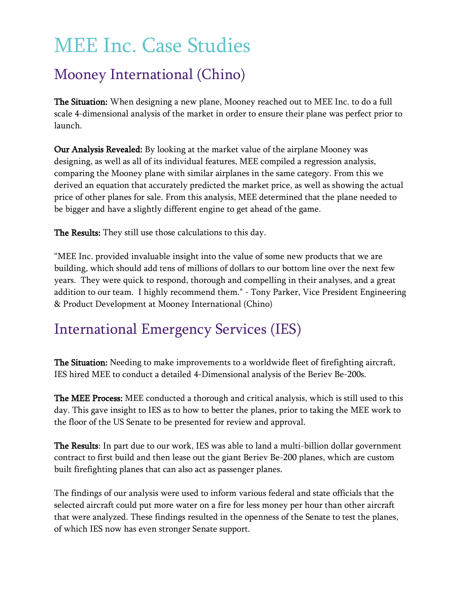## MEE Inc. Case Studies

## Mooney International (Chino)

The Situation: When designing a new plane, Mooney reached out to MEE Inc. to do a full scale 4-dimensional analysis of the market in order to ensure their plane was perfect prior to launch.

Our Analysis Revealed: By looking at the market value of the airplane Mooney was designing, as well as all of its individual features, MEE compiled a regression analysis, comparing the Mooney plane with similar airplanes in the same category. From this we derived an equation that accurately predicted the market price, as well as showing the actual price of other planes for sale. From this analysis, MEE determined that the plane needed to be bigger and have a slightly different engine to get ahead of the game.

The Results: They still use those calculations to this day.

"MEE Inc. provided invaluable insight into the value of some new products that we are building, which should add tens of millions of dollars to our bottom line over the next few years. They were quick to respond, thorough and compelling in their analyses, and a great addition to our team. I highly recommend them." - Tony Parker, Vice President Engineering & Product Development at Mooney International (Chino)

## International Emergency Services (IES)

The Situation: Needing to make improvements to a worldwide fleet of firefighting aircraft, IES hired MEE to conduct a detailed 4-Dimensional analysis of the Beriev Be-200s.

The MEE Process: MEE conducted a thorough and critical analysis, which is still used to this day. This gave insight to IES as to how to better the planes, prior to taking the MEE work to the floor of the US Senate to be presented for review and approval.

The Results: In part due to our work, IES was able to land a multi-billion dollar government contract to first build and then lease out the giant Beriev Be-200 planes, which are custom built firefighting planes that can also act as passenger planes.

The findings of our analysis were used to inform various federal and state officials that the selected aircraft could put more water on a fire for less money per hour than other aircraft that were analyzed. These findings resulted in the openness of the Senate to test the planes, of which IES now has even stronger Senate support.